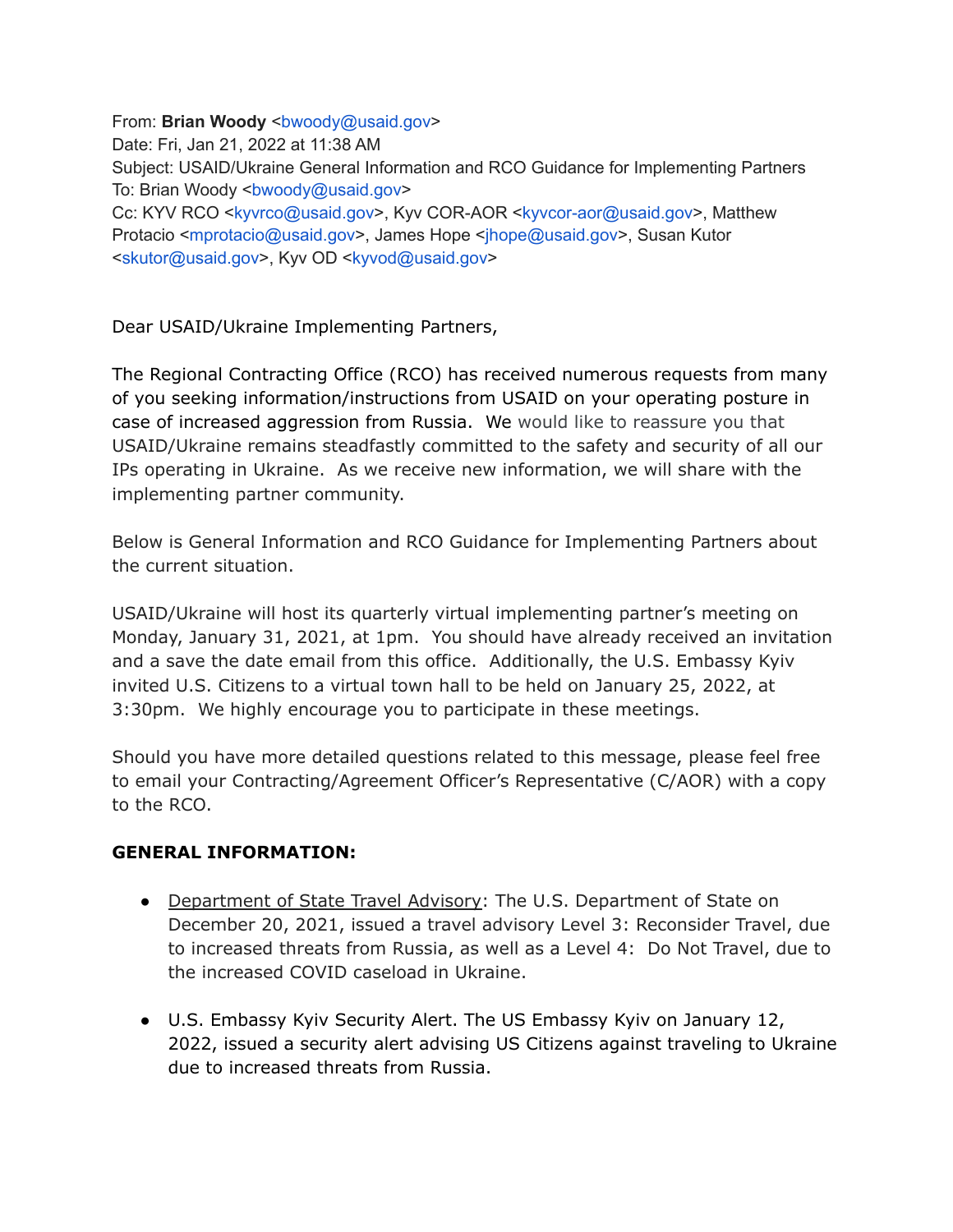From: **Brian Woody** <br/>bwoody@usaid.gov> Date: Fri, Jan 21, 2022 at 11:38 AM Subject: USAID/Ukraine General Information and RCO Guidance for Implementing Partners To: Brian Woody <br/>bwoody@usaid.gov> Cc: KYV RCO <kyvrco@usaid.gov>, Kyv COR-AOR <kyvcor-aor@usaid.gov>, Matthew Protacio <mprotacio@usaid.gov>, James Hope <jhope@usaid.gov>, Susan Kutor <skutor@usaid.gov>, Kyv OD <kyvod@usaid.gov>

Dear USAID/Ukraine Implementing Partners,

The Regional Contracting Office (RCO) has received numerous requests from many of you seeking information/instructions from USAID on your operating posture in case of increased aggression from Russia. We would like to reassure you that USAID/Ukraine remains steadfastly committed to the safety and security of all our IPs operating in Ukraine. As we receive new information, we will share with the implementing partner community.

Below is General Information and RCO Guidance for Implementing Partners about the current situation.

USAID/Ukraine will host its quarterly virtual implementing partner's meeting on Monday, January 31, 2021, at 1pm. You should have already received an invitation and a save the date email from this office. Additionally, the U.S. Embassy Kyiv invited U.S. Citizens to a virtual town hall to be held on January 25, 2022, at 3:30pm. We highly encourage you to participate in these meetings.

Should you have more detailed questions related to this message, please feel free to email your Contracting/Agreement Officer's Representative (C/AOR) with a copy to the RCO.

## **GENERAL INFORMATION:**

- Department of State Travel Advisory: The U.S. Department of State on December 20, 2021, issued a travel advisory Level 3: Reconsider Travel, due to increased threats from Russia, as well as a Level 4: Do Not Travel, due to the increased COVID caseload in Ukraine.
- U.S. Embassy Kyiv Security Alert. The US Embassy Kyiv on January 12, 2022, issued a security alert advising US Citizens against traveling to Ukraine due to increased threats from Russia.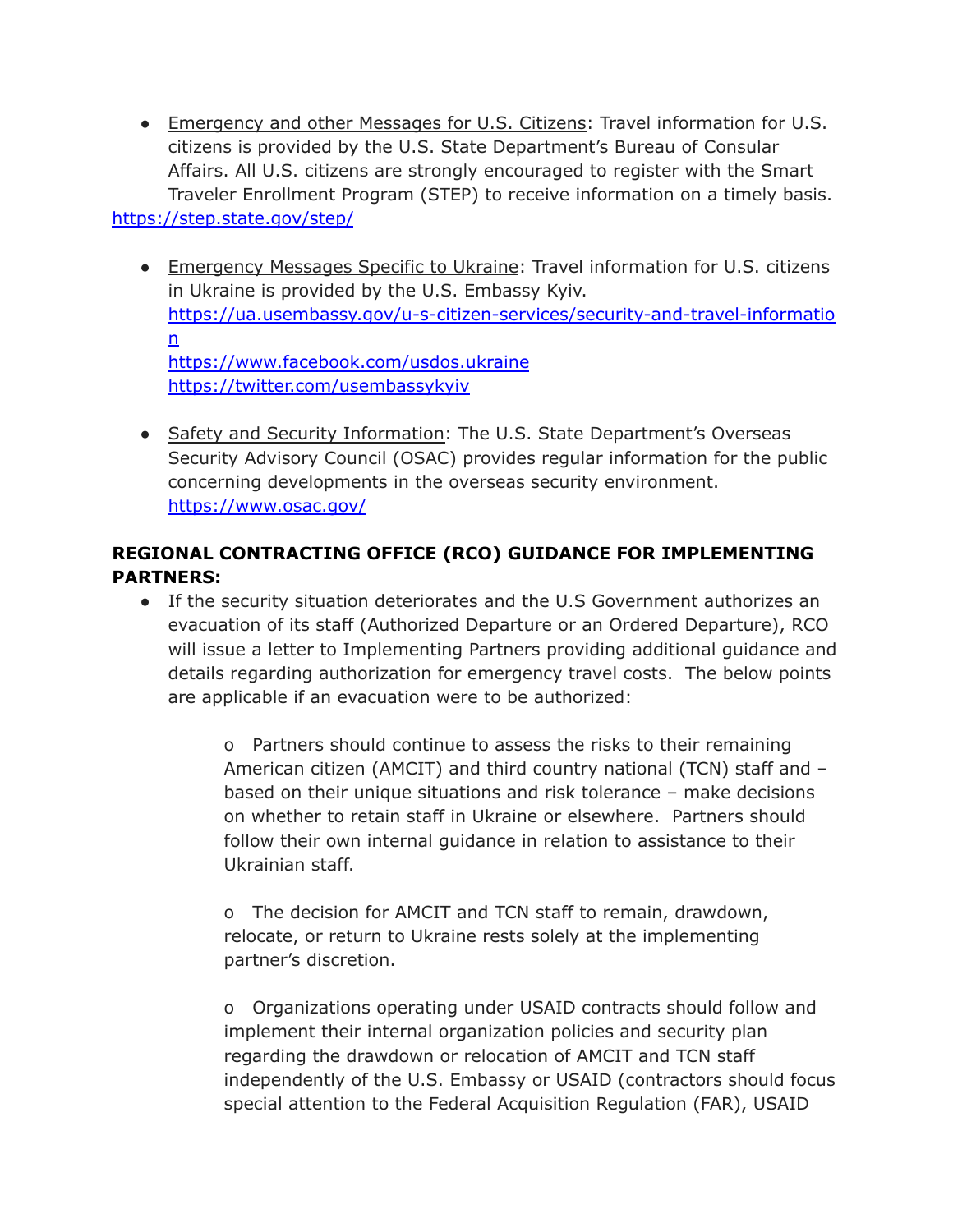- Emergency and other Messages for U.S. Citizens: Travel information for U.S. citizens is provided by the U.S. State Department's Bureau of Consular Affairs. All U.S. citizens are strongly encouraged to register with the Smart Traveler Enrollment Program (STEP) to receive information on a timely basis. <https://step.state.gov/step/>
	- Emergency Messages Specific to Ukraine: Travel information for U.S. citizens in Ukraine is provided by the U.S. Embassy Kyiv. [https://ua.usembassy.gov/u-s-citizen-services/security-and-travel-informatio](https://ua.usembassy.gov/u-s-citizen-services/security-and-travel-information) [n](https://ua.usembassy.gov/u-s-citizen-services/security-and-travel-information) <https://www.facebook.com/usdos.ukraine> <https://twitter.com/usembassykyiv>
	- Safety and Security Information: The U.S. State Department's Overseas Security Advisory Council (OSAC) provides regular information for the public concerning developments in the overseas security environment. <https://www.osac.gov/>

## **REGIONAL CONTRACTING OFFICE (RCO) GUIDANCE FOR IMPLEMENTING PARTNERS:**

● If the security situation deteriorates and the U.S Government authorizes an evacuation of its staff (Authorized Departure or an Ordered Departure), RCO will issue a letter to Implementing Partners providing additional guidance and details regarding authorization for emergency travel costs. The below points are applicable if an evacuation were to be authorized:

> o Partners should continue to assess the risks to their remaining American citizen (AMCIT) and third country national (TCN) staff and – based on their unique situations and risk tolerance – make decisions on whether to retain staff in Ukraine or elsewhere. Partners should follow their own internal guidance in relation to assistance to their Ukrainian staff.

o The decision for AMCIT and TCN staff to remain, drawdown, relocate, or return to Ukraine rests solely at the implementing partner's discretion.

o Organizations operating under USAID contracts should follow and implement their internal organization policies and security plan regarding the drawdown or relocation of AMCIT and TCN staff independently of the U.S. Embassy or USAID (contractors should focus special attention to the Federal Acquisition Regulation (FAR), USAID